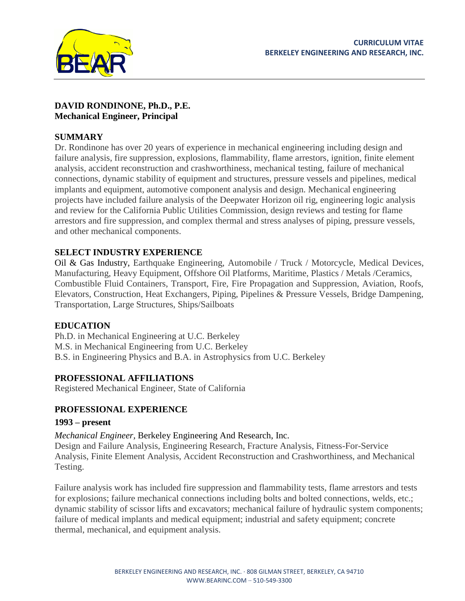

### **DAVID RONDINONE, Ph.D., P.E. Mechanical Engineer, Principal**

## **SUMMARY**

Dr. Rondinone has over 20 years of experience in mechanical engineering including design and failure analysis, fire suppression, explosions, flammability, flame arrestors, ignition, finite element analysis, accident reconstruction and crashworthiness, mechanical testing, failure of mechanical connections, dynamic stability of equipment and structures, pressure vessels and pipelines, medical implants and equipment, automotive component analysis and design. Mechanical engineering projects have included failure analysis of the Deepwater Horizon oil rig, engineering logic analysis and review for the California Public Utilities Commission, design reviews and testing for flame arrestors and fire suppression, and complex thermal and stress analyses of piping, pressure vessels, and other mechanical components.

# **SELECT INDUSTRY EXPERIENCE**

Oil & Gas Industry, Earthquake Engineering, Automobile / Truck / Motorcycle, Medical Devices, Manufacturing, Heavy Equipment, Offshore Oil Platforms, Maritime, Plastics / Metals /Ceramics, Combustible Fluid Containers, Transport, Fire, Fire Propagation and Suppression, Aviation, Roofs, Elevators, Construction, Heat Exchangers, Piping, Pipelines & Pressure Vessels, Bridge Dampening, Transportation, Large Structures, Ships/Sailboats

## **EDUCATION**

Ph.D. in Mechanical Engineering at U.C. Berkeley M.S. in Mechanical Engineering from U.C. Berkeley B.S. in Engineering Physics and B.A. in Astrophysics from U.C. Berkeley

# **PROFESSIONAL AFFILIATIONS**

Registered Mechanical Engineer, State of California

# **PROFESSIONAL EXPERIENCE**

## **1993 – present**

## *Mechanical Engineer,* Berkeley Engineering And Research, Inc.

Design and Failure Analysis, Engineering Research, Fracture Analysis, Fitness-For-Service Analysis, Finite Element Analysis, Accident Reconstruction and Crashworthiness, and Mechanical Testing.

Failure analysis work has included fire suppression and flammability tests, flame arrestors and tests for explosions; failure mechanical connections including bolts and bolted connections, welds, etc.; dynamic stability of scissor lifts and excavators; mechanical failure of hydraulic system components; failure of medical implants and medical equipment; industrial and safety equipment; concrete thermal, mechanical, and equipment analysis.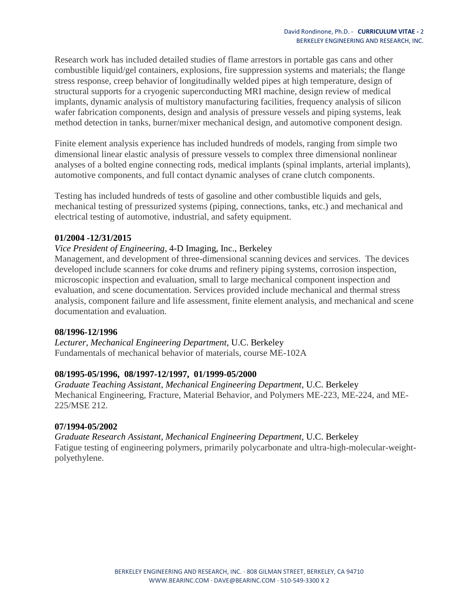Research work has included detailed studies of flame arrestors in portable gas cans and other combustible liquid/gel containers, explosions, fire suppression systems and materials; the flange stress response, creep behavior of longitudinally welded pipes at high temperature, design of structural supports for a cryogenic superconducting MRI machine, design review of medical implants, dynamic analysis of multistory manufacturing facilities, frequency analysis of silicon wafer fabrication components, design and analysis of pressure vessels and piping systems, leak method detection in tanks, burner/mixer mechanical design, and automotive component design.

Finite element analysis experience has included hundreds of models, ranging from simple two dimensional linear elastic analysis of pressure vessels to complex three dimensional nonlinear analyses of a bolted engine connecting rods, medical implants (spinal implants, arterial implants), automotive components, and full contact dynamic analyses of crane clutch components.

Testing has included hundreds of tests of gasoline and other combustible liquids and gels, mechanical testing of pressurized systems (piping, connections, tanks, etc.) and mechanical and electrical testing of automotive, industrial, and safety equipment.

### **01/2004 -12/31/2015**

### *Vice President of Engineering,* 4-D Imaging, Inc., Berkeley

Management, and development of three-dimensional scanning devices and services. The devices developed include scanners for coke drums and refinery piping systems, corrosion inspection, microscopic inspection and evaluation, small to large mechanical component inspection and evaluation, and scene documentation. Services provided include mechanical and thermal stress analysis, component failure and life assessment, finite element analysis, and mechanical and scene documentation and evaluation.

### **08/1996-12/1996**

*Lecturer, Mechanical Engineering Department,* U.C. Berkeley Fundamentals of mechanical behavior of materials, course ME-102A

### **08/1995-05/1996, 08/1997-12/1997, 01/1999-05/2000**

*Graduate Teaching Assistant, Mechanical Engineering Department,* U.C. Berkeley Mechanical Engineering, Fracture, Material Behavior, and Polymers ME-223, ME-224, and ME-225/MSE 212.

### **07/1994-05/2002**

*Graduate Research Assistant, Mechanical Engineering Department,* U.C. Berkeley Fatigue testing of engineering polymers, primarily polycarbonate and ultra-high-molecular-weightpolyethylene.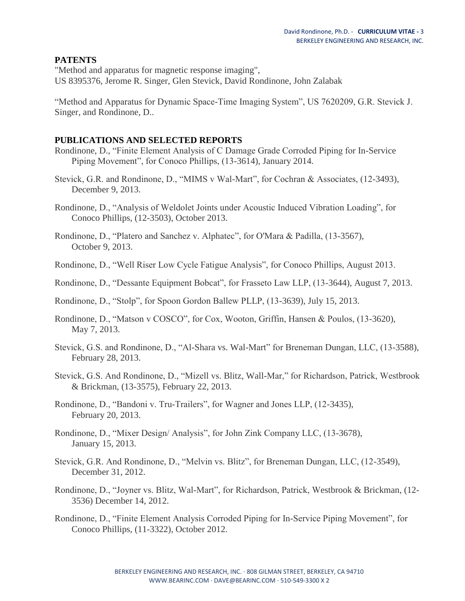### **PATENTS**

"Method and apparatus for magnetic response imaging", US 8395376, Jerome R. Singer, Glen Stevick, David Rondinone, John Zalabak

"Method and Apparatus for Dynamic Space-Time Imaging System", US 7620209, G.R. Stevick J. Singer, and Rondinone, D..

### **PUBLICATIONS AND SELECTED REPORTS**

- Rondinone, D., "Finite Element Analysis of C Damage Grade Corroded Piping for In-Service Piping Movement", for Conoco Phillips, (13-3614), January 2014.
- Stevick, G.R. and Rondinone, D., "MIMS v Wal-Mart", for Cochran & Associates, (12-3493), December 9, 2013.
- Rondinone, D., "Analysis of Weldolet Joints under Acoustic Induced Vibration Loading", for Conoco Phillips, (12-3503), October 2013.
- Rondinone, D., "Platero and Sanchez v. Alphatec", for O'Mara & Padilla, (13-3567), October 9, 2013.
- Rondinone, D., "Well Riser Low Cycle Fatigue Analysis", for Conoco Phillips, August 2013.
- Rondinone, D., "Dessante Equipment Bobcat", for Frasseto Law LLP, (13-3644), August 7, 2013.
- Rondinone, D., "Stolp", for Spoon Gordon Ballew PLLP, (13-3639), July 15, 2013.
- Rondinone, D., "Matson v COSCO", for Cox, Wooton, Griffin, Hansen & Poulos, (13-3620), May 7, 2013.
- Stevick, G.S. and Rondinone, D., "Al-Shara vs. Wal-Mart" for Breneman Dungan, LLC, (13-3588), February 28, 2013.
- Stevick, G.S. And Rondinone, D., "Mizell vs. Blitz, Wall-Mar," for Richardson, Patrick, Westbrook & Brickman, (13-3575), February 22, 2013.
- Rondinone, D., "Bandoni v. Tru-Trailers", for Wagner and Jones LLP, (12-3435), February 20, 2013.
- Rondinone, D., "Mixer Design/ Analysis", for John Zink Company LLC, (13-3678), January 15, 2013.
- Stevick, G.R. And Rondinone, D., "Melvin vs. Blitz", for Breneman Dungan, LLC, (12-3549), December 31, 2012.
- Rondinone, D., "Joyner vs. Blitz, Wal-Mart", for Richardson, Patrick, Westbrook & Brickman, (12- 3536) December 14, 2012.
- Rondinone, D., "Finite Element Analysis Corroded Piping for In-Service Piping Movement", for Conoco Phillips, (11-3322), October 2012.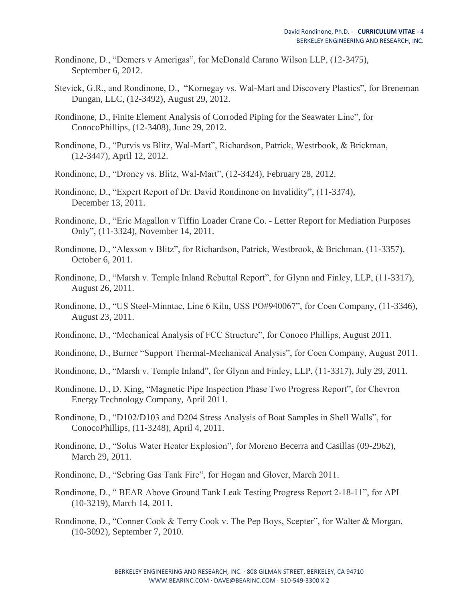- Rondinone, D., "Demers v Amerigas", for McDonald Carano Wilson LLP, (12-3475), September 6, 2012.
- Stevick, G.R., and Rondinone, D., "Kornegay vs. Wal-Mart and Discovery Plastics", for Breneman Dungan, LLC, (12-3492), August 29, 2012.
- Rondinone, D., Finite Element Analysis of Corroded Piping for the Seawater Line", for ConocoPhillips, (12-3408), June 29, 2012.
- Rondinone, D., "Purvis vs Blitz, Wal-Mart", Richardson, Patrick, Westrbook, & Brickman, (12-3447), April 12, 2012.
- Rondinone, D., "Droney vs. Blitz, Wal-Mart", (12-3424), February 28, 2012.
- Rondinone, D., "Expert Report of Dr. David Rondinone on Invalidity", (11-3374), December 13, 2011.
- Rondinone, D., "Eric Magallon v Tiffin Loader Crane Co. Letter Report for Mediation Purposes Only", (11-3324), November 14, 2011.
- Rondinone, D., "Alexson v Blitz", for Richardson, Patrick, Westbrook, & Brichman, (11-3357), October 6, 2011.
- Rondinone, D., "Marsh v. Temple Inland Rebuttal Report", for Glynn and Finley, LLP, (11-3317), August 26, 2011.
- Rondinone, D., "US Steel-Minntac, Line 6 Kiln, USS PO#940067", for Coen Company, (11-3346), August 23, 2011.
- Rondinone, D., "Mechanical Analysis of FCC Structure", for Conoco Phillips, August 2011.
- Rondinone, D., Burner "Support Thermal-Mechanical Analysis", for Coen Company, August 2011.
- Rondinone, D., "Marsh v. Temple Inland", for Glynn and Finley, LLP, (11-3317), July 29, 2011.
- Rondinone, D., D. King, "Magnetic Pipe Inspection Phase Two Progress Report", for Chevron Energy Technology Company, April 2011.
- Rondinone, D., "D102/D103 and D204 Stress Analysis of Boat Samples in Shell Walls", for ConocoPhillips, (11-3248), April 4, 2011.
- Rondinone, D., "Solus Water Heater Explosion", for Moreno Becerra and Casillas (09-2962), March 29, 2011.
- Rondinone, D., "Sebring Gas Tank Fire", for Hogan and Glover, March 2011.
- Rondinone, D., " BEAR Above Ground Tank Leak Testing Progress Report 2-18-11", for API (10-3219), March 14, 2011.
- Rondinone, D., "Conner Cook & Terry Cook v. The Pep Boys, Scepter", for Walter & Morgan, (10-3092), September 7, 2010.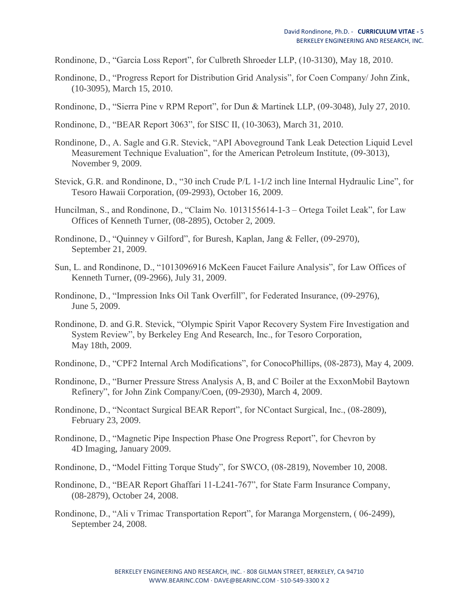Rondinone, D., "Garcia Loss Report", for Culbreth Shroeder LLP, (10-3130), May 18, 2010.

- Rondinone, D., "Progress Report for Distribution Grid Analysis", for Coen Company/ John Zink, (10-3095), March 15, 2010.
- Rondinone, D., "Sierra Pine v RPM Report", for Dun & Martinek LLP, (09-3048), July 27, 2010.
- Rondinone, D., "BEAR Report 3063", for SISC II, (10-3063), March 31, 2010.
- Rondinone, D., A. Sagle and G.R. Stevick, "API Aboveground Tank Leak Detection Liquid Level Measurement Technique Evaluation", for the American Petroleum Institute, (09-3013), November 9, 2009.
- Stevick, G.R. and Rondinone, D., "30 inch Crude P/L 1-1/2 inch line Internal Hydraulic Line", for Tesoro Hawaii Corporation, (09-2993), October 16, 2009.
- Huncilman, S., and Rondinone, D., "Claim No. 1013155614-1-3 Ortega Toilet Leak", for Law Offices of Kenneth Turner, (08-2895), October 2, 2009.
- Rondinone, D., "Quinney v Gilford", for Buresh, Kaplan, Jang & Feller, (09-2970), September 21, 2009.
- Sun, L. and Rondinone, D., "1013096916 McKeen Faucet Failure Analysis", for Law Offices of Kenneth Turner, (09-2966), July 31, 2009.
- Rondinone, D., "Impression Inks Oil Tank Overfill", for Federated Insurance, (09-2976), June 5, 2009.
- Rondinone, D. and G.R. Stevick, "Olympic Spirit Vapor Recovery System Fire Investigation and System Review", by Berkeley Eng And Research, Inc., for Tesoro Corporation, May 18th, 2009.
- Rondinone, D., "CPF2 Internal Arch Modifications", for ConocoPhillips, (08-2873), May 4, 2009.
- Rondinone, D., "Burner Pressure Stress Analysis A, B, and C Boiler at the ExxonMobil Baytown Refinery", for John Zink Company/Coen, (09-2930), March 4, 2009.
- Rondinone, D., "Ncontact Surgical BEAR Report", for NContact Surgical, Inc., (08-2809), February 23, 2009.
- Rondinone, D., "Magnetic Pipe Inspection Phase One Progress Report", for Chevron by 4D Imaging, January 2009.
- Rondinone, D., "Model Fitting Torque Study", for SWCO, (08-2819), November 10, 2008.
- Rondinone, D., "BEAR Report Ghaffari 11-L241-767", for State Farm Insurance Company, (08-2879), October 24, 2008.
- Rondinone, D., "Ali v Trimac Transportation Report", for Maranga Morgenstern, ( 06-2499), September 24, 2008.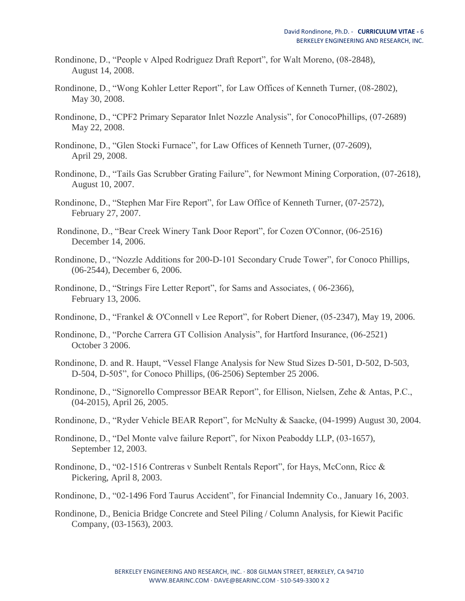- Rondinone, D., "People v Alped Rodriguez Draft Report", for Walt Moreno, (08-2848), August 14, 2008.
- Rondinone, D., "Wong Kohler Letter Report", for Law Offices of Kenneth Turner, (08-2802), May 30, 2008.
- Rondinone, D., "CPF2 Primary Separator Inlet Nozzle Analysis", for ConocoPhillips, (07-2689) May 22, 2008.
- Rondinone, D., "Glen Stocki Furnace", for Law Offices of Kenneth Turner, (07-2609), April 29, 2008.
- Rondinone, D., "Tails Gas Scrubber Grating Failure", for Newmont Mining Corporation, (07-2618), August 10, 2007.
- Rondinone, D., "Stephen Mar Fire Report", for Law Office of Kenneth Turner, (07-2572), February 27, 2007.
- Rondinone, D., "Bear Creek Winery Tank Door Report", for Cozen O'Connor, (06-2516) December 14, 2006.
- Rondinone, D., "Nozzle Additions for 200-D-101 Secondary Crude Tower", for Conoco Phillips, (06-2544), December 6, 2006.
- Rondinone, D., "Strings Fire Letter Report", for Sams and Associates, ( 06-2366), February 13, 2006.
- Rondinone, D., "Frankel & O'Connell v Lee Report", for Robert Diener, (05-2347), May 19, 2006.
- Rondinone, D., "Porche Carrera GT Collision Analysis", for Hartford Insurance, (06-2521) October 3 2006.
- Rondinone, D. and R. Haupt, "Vessel Flange Analysis for New Stud Sizes D-501, D-502, D-503, D-504, D-505", for Conoco Phillips, (06-2506) September 25 2006.
- Rondinone, D., "Signorello Compressor BEAR Report", for Ellison, Nielsen, Zehe & Antas, P.C., (04-2015), April 26, 2005.
- Rondinone, D., "Ryder Vehicle BEAR Report", for McNulty & Saacke, (04-1999) August 30, 2004.
- Rondinone, D., "Del Monte valve failure Report", for Nixon Peaboddy LLP, (03-1657), September 12, 2003.
- Rondinone, D., "02-1516 Contreras v Sunbelt Rentals Report", for Hays, McConn, Ricc & Pickering, April 8, 2003.
- Rondinone, D., "02-1496 Ford Taurus Accident", for Financial Indemnity Co., January 16, 2003.
- Rondinone, D., Benicia Bridge Concrete and Steel Piling / Column Analysis, for Kiewit Pacific Company, (03-1563), 2003.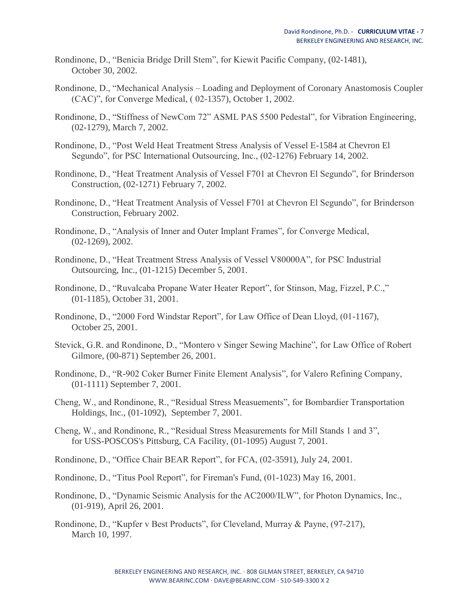- Rondinone, D., "Benicia Bridge Drill Stem", for Kiewit Pacific Company, (02-1481), October 30, 2002.
- Rondinone, D., "Mechanical Analysis Loading and Deployment of Coronary Anastomosis Coupler (CAC)", for Converge Medical, ( 02-1357), October 1, 2002.
- Rondinone, D., "Stiffness of NewCom 72" ASML PAS 5500 Pedestal", for Vibration Engineering, (02-1279), March 7, 2002.
- Rondinone, D., "Post Weld Heat Treatment Stress Analysis of Vessel E-1584 at Chevron El Segundo", for PSC International Outsourcing, Inc., (02-1276) February 14, 2002.
- Rondinone, D., "Heat Treatment Analysis of Vessel F701 at Chevron El Segundo", for Brinderson Construction, (02-1271) February 7, 2002.
- Rondinone, D., "Heat Treatment Analysis of Vessel F701 at Chevron El Segundo", for Brinderson Construction, February 2002.
- Rondinone, D., "Analysis of Inner and Outer Implant Frames", for Converge Medical, (02-1269), 2002.
- Rondinone, D., "Heat Treatment Stress Analysis of Vessel V80000A", for PSC Industrial Outsourcing, Inc., (01-1215) December 5, 2001.
- Rondinone, D., "Ruvalcaba Propane Water Heater Report", for Stinson, Mag, Fizzel, P.C.," (01-1185), October 31, 2001.
- Rondinone, D., "2000 Ford Windstar Report", for Law Office of Dean Lloyd, (01-1167), October 25, 2001.
- Stevick, G.R. and Rondinone, D., "Montero v Singer Sewing Machine", for Law Office of Robert Gilmore, (00-871) September 26, 2001.
- Rondinone, D., "R-902 Coker Burner Finite Element Analysis", for Valero Refining Company, (01-1111) September 7, 2001.
- Cheng, W., and Rondinone, R., "Residual Stress Measuements", for Bombardier Transportation Holdings, Inc., (01-1092), September 7, 2001.
- Cheng, W., and Rondinone, R., "Residual Stress Measurements for Mill Stands 1 and 3", for USS-POSCOS's Pittsburg, CA Facility, (01-1095) August 7, 2001.
- Rondinone, D., "Office Chair BEAR Report", for FCA, (02-3591), July 24, 2001.
- Rondinone, D., "Titus Pool Report", for Fireman's Fund, (01-1023) May 16, 2001.
- Rondinone, D., "Dynamic Seismic Analysis for the AC2000/ILW", for Photon Dynamics, Inc., (01-919), April 26, 2001.
- Rondinone, D., "Kupfer v Best Products", for Cleveland, Murray & Payne, (97-217), March 10, 1997.